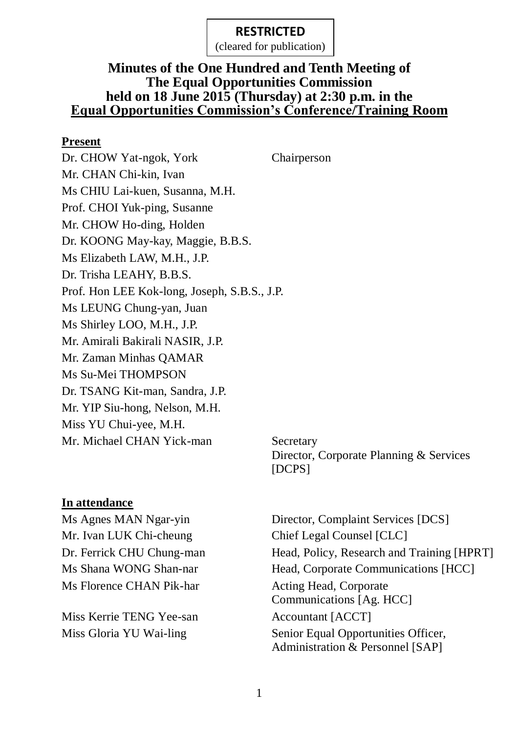(cleared for publication)

### **Minutes of the One Hundred and Tenth Meeting of The Equal Opportunities Commission held on 18 June 2015 (Thursday) at 2:30 p.m. in the Equal Opportunities Commission's Conference/Training Room**

#### **Present**

Dr. CHOW Yat-ngok, York Chairperson Mr. CHAN Chi-kin, Ivan Ms CHIU Lai-kuen, Susanna, M.H. Prof. CHOI Yuk-ping, Susanne Mr. CHOW Ho-ding, Holden Dr. KOONG May-kay, Maggie, B.B.S. Ms Elizabeth LAW, M.H., J.P. Dr. Trisha LEAHY, B.B.S. Prof. Hon LEE Kok-long, Joseph, S.B.S., J.P. Ms LEUNG Chung-yan, Juan Ms Shirley LOO, M.H., J.P. Mr. Amirali Bakirali NASIR, J.P. Mr. Zaman Minhas QAMAR Ms Su-Mei THOMPSON Dr. TSANG Kit-man, Sandra, J.P. Mr. YIP Siu-hong, Nelson, M.H. Miss YU Chui-yee, M.H. Mr. Michael CHAN Yick-man Secretary

# Director, Corporate Planning & Services [DCPS]

#### **In attendance**

Mr. Ivan LUK Chi-cheung Chief Legal Counsel [CLC] Ms Florence CHAN Pik-har Acting Head, Corporate

Miss Kerrie TENG Yee-san Accountant [ACCT]

Ms Agnes MAN Ngar-yin Director, Complaint Services [DCS] Dr. Ferrick CHU Chung-man Head, Policy, Research and Training [HPRT] Ms Shana WONG Shan-nar Head, Corporate Communications [HCC] Communications [Ag. HCC] Miss Gloria YU Wai-ling Senior Equal Opportunities Officer, Administration & Personnel [SAP]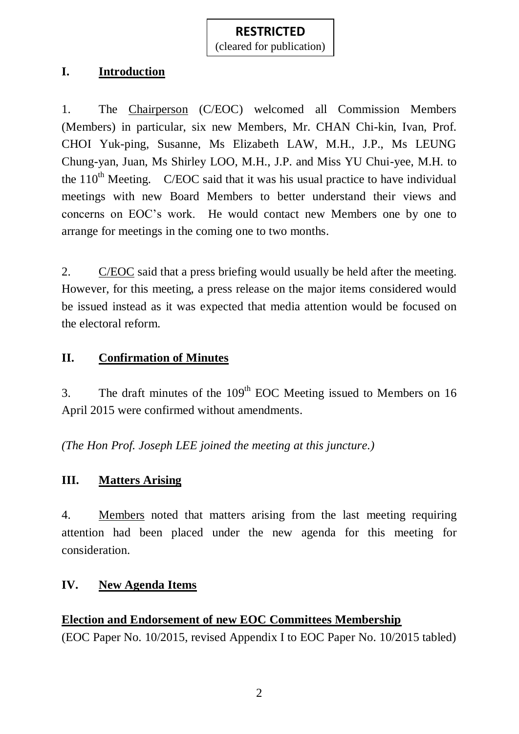#### (cleared for publication)

#### **I. Introduction**

1. The Chairperson (C/EOC) welcomed all Commission Members (Members) in particular, six new Members, Mr. CHAN Chi-kin, Ivan, Prof. CHOI Yuk-ping, Susanne, Ms Elizabeth LAW, M.H., J.P., Ms LEUNG Chung-yan, Juan, Ms Shirley LOO, M.H., J.P. and Miss YU Chui-yee, M.H. to the  $110<sup>th</sup>$  Meeting. C/EOC said that it was his usual practice to have individual meetings with new Board Members to better understand their views and concerns on EOC's work. He would contact new Members one by one to arrange for meetings in the coming one to two months.

2. C/EOC said that a press briefing would usually be held after the meeting. However, for this meeting, a press release on the major items considered would be issued instead as it was expected that media attention would be focused on the electoral reform.

## **II. Confirmation of Minutes**

3. The draft minutes of the  $109<sup>th</sup>$  EOC Meeting issued to Members on 16 April 2015 were confirmed without amendments.

*(The Hon Prof. Joseph LEE joined the meeting at this juncture.)*

## **III. Matters Arising**

4. Members noted that matters arising from the last meeting requiring attention had been placed under the new agenda for this meeting for consideration.

## **IV. New Agenda Items**

## **Election and Endorsement of new EOC Committees Membership**

(EOC Paper No. 10/2015, revised Appendix I to EOC Paper No. 10/2015 tabled)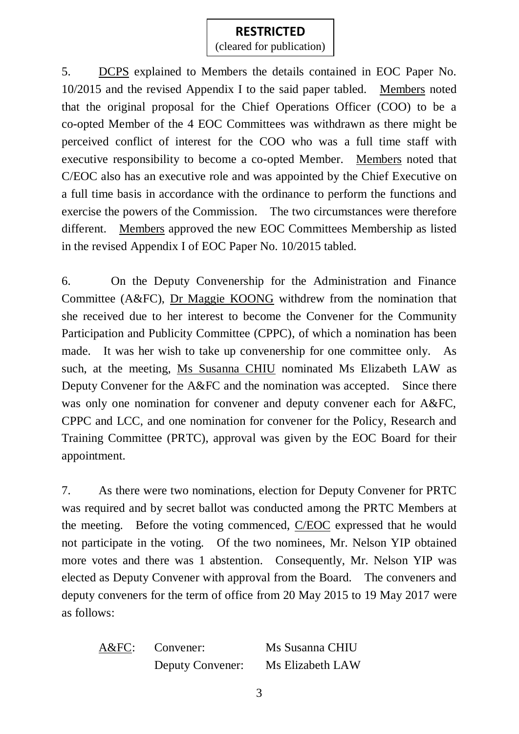## **RESTRICTED** (cleared for publication)

5. DCPS explained to Members the details contained in EOC Paper No. 10/2015 and the revised Appendix I to the said paper tabled. Members noted that the original proposal for the Chief Operations Officer (COO) to be a co-opted Member of the 4 EOC Committees was withdrawn as there might be perceived conflict of interest for the COO who was a full time staff with executive responsibility to become a co-opted Member. Members noted that C/EOC also has an executive role and was appointed by the Chief Executive on a full time basis in accordance with the ordinance to perform the functions and exercise the powers of the Commission. The two circumstances were therefore different. Members approved the new EOC Committees Membership as listed in the revised Appendix I of EOC Paper No. 10/2015 tabled.

6. On the Deputy Convenership for the Administration and Finance Committee (A&FC), Dr Maggie KOONG withdrew from the nomination that she received due to her interest to become the Convener for the Community Participation and Publicity Committee (CPPC), of which a nomination has been made. It was her wish to take up convenership for one committee only. As such, at the meeting, Ms Susanna CHIU nominated Ms Elizabeth LAW as Deputy Convener for the A&FC and the nomination was accepted. Since there was only one nomination for convener and deputy convener each for A&FC, CPPC and LCC, and one nomination for convener for the Policy, Research and Training Committee (PRTC), approval was given by the EOC Board for their appointment.

7. As there were two nominations, election for Deputy Convener for PRTC was required and by secret ballot was conducted among the PRTC Members at the meeting. Before the voting commenced, C/EOC expressed that he would not participate in the voting. Of the two nominees, Mr. Nelson YIP obtained more votes and there was 1 abstention. Consequently, Mr. Nelson YIP was elected as Deputy Convener with approval from the Board. The conveners and deputy conveners for the term of office from 20 May 2015 to 19 May 2017 were as follows:

A&FC: Convener: Ms Susanna CHIU Deputy Convener: Ms Elizabeth LAW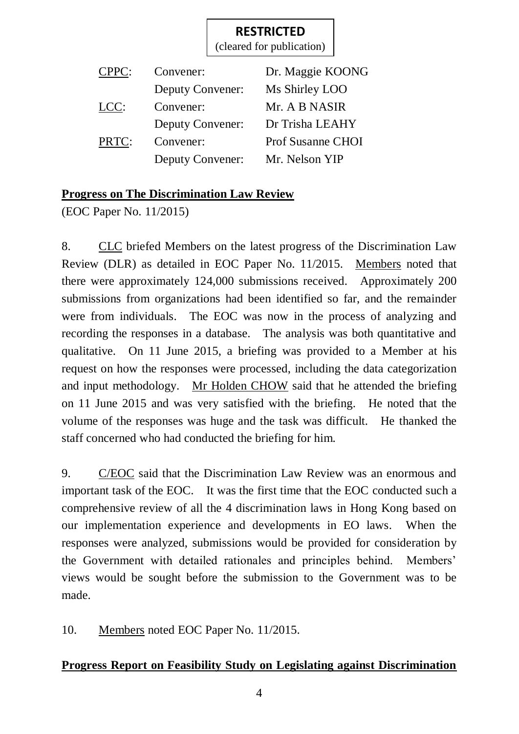(cleared for publication)

| CPPC: | Convener:               | Dr. Maggie KOONG         |
|-------|-------------------------|--------------------------|
|       | <b>Deputy Convener:</b> | Ms Shirley LOO           |
| LCC:  | Convener:               | Mr. A B NASIR            |
|       | <b>Deputy Convener:</b> | Dr Trisha LEAHY          |
| PRTC: | Convener:               | <b>Prof Susanne CHOI</b> |
|       | <b>Deputy Convener:</b> | Mr. Nelson YIP           |

## **Progress on The Discrimination Law Review**

(EOC Paper No. 11/2015)

8. CLC briefed Members on the latest progress of the Discrimination Law Review (DLR) as detailed in EOC Paper No. 11/2015. Members noted that there were approximately 124,000 submissions received. Approximately 200 submissions from organizations had been identified so far, and the remainder were from individuals. The EOC was now in the process of analyzing and recording the responses in a database. The analysis was both quantitative and qualitative. On 11 June 2015, a briefing was provided to a Member at his request on how the responses were processed, including the data categorization and input methodology. Mr Holden CHOW said that he attended the briefing on 11 June 2015 and was very satisfied with the briefing. He noted that the volume of the responses was huge and the task was difficult. He thanked the staff concerned who had conducted the briefing for him.

9. C/EOC said that the Discrimination Law Review was an enormous and important task of the EOC. It was the first time that the EOC conducted such a comprehensive review of all the 4 discrimination laws in Hong Kong based on our implementation experience and developments in EO laws. When the responses were analyzed, submissions would be provided for consideration by the Government with detailed rationales and principles behind. Members' views would be sought before the submission to the Government was to be made.

10. Members noted EOC Paper No. 11/2015.

## **Progress Report on Feasibility Study on Legislating against Discrimination**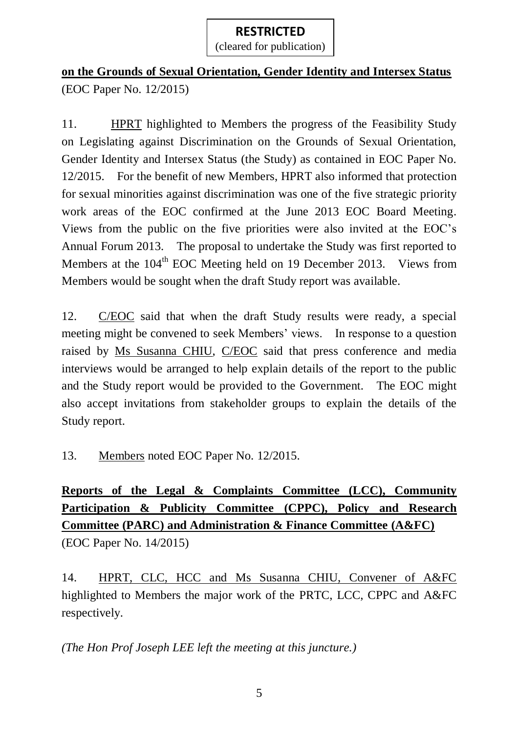## **on the Grounds of Sexual Orientation, Gender Identity and Intersex Status** (EOC Paper No. 12/2015)

11. HPRT highlighted to Members the progress of the Feasibility Study on Legislating against Discrimination on the Grounds of Sexual Orientation, Gender Identity and Intersex Status (the Study) as contained in EOC Paper No. 12/2015. For the benefit of new Members, HPRT also informed that protection for sexual minorities against discrimination was one of the five strategic priority work areas of the EOC confirmed at the June 2013 EOC Board Meeting. Views from the public on the five priorities were also invited at the EOC's Annual Forum 2013. The proposal to undertake the Study was first reported to Members at the 104<sup>th</sup> EOC Meeting held on 19 December 2013. Views from Members would be sought when the draft Study report was available.

12. C/EOC said that when the draft Study results were ready, a special meeting might be convened to seek Members' views. In response to a question raised by Ms Susanna CHIU, C/EOC said that press conference and media interviews would be arranged to help explain details of the report to the public and the Study report would be provided to the Government. The EOC might also accept invitations from stakeholder groups to explain the details of the Study report.

13. Members noted EOC Paper No. 12/2015.

## **Reports of the Legal & Complaints Committee (LCC), Community Participation & Publicity Committee (CPPC), Policy and Research Committee (PARC) and Administration & Finance Committee (A&FC)** (EOC Paper No. 14/2015)

14. HPRT, CLC, HCC and Ms Susanna CHIU, Convener of A&FC highlighted to Members the major work of the PRTC, LCC, CPPC and A&FC respectively.

*(The Hon Prof Joseph LEE left the meeting at this juncture.)*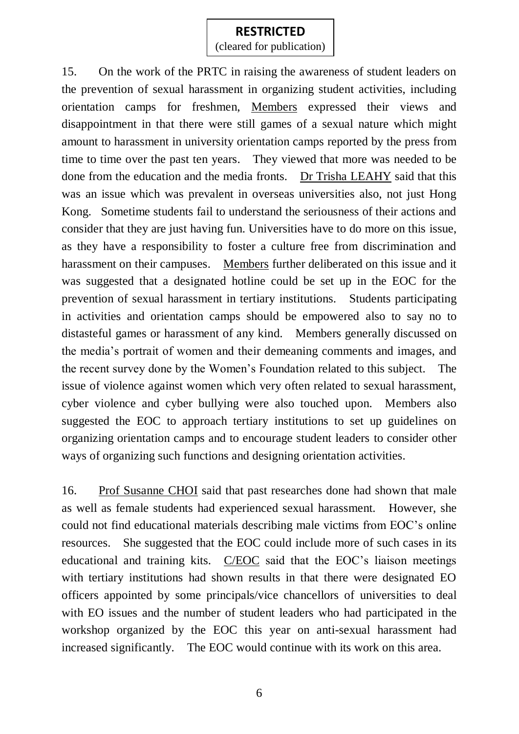(cleared for publication)

15. On the work of the PRTC in raising the awareness of student leaders on the prevention of sexual harassment in organizing student activities, including orientation camps for freshmen, Members expressed their views and disappointment in that there were still games of a sexual nature which might amount to harassment in university orientation camps reported by the press from time to time over the past ten years. They viewed that more was needed to be done from the education and the media fronts. Dr Trisha LEAHY said that this was an issue which was prevalent in overseas universities also, not just Hong Kong. Sometime students fail to understand the seriousness of their actions and consider that they are just having fun. Universities have to do more on this issue, as they have a responsibility to foster a culture free from discrimination and harassment on their campuses. Members further deliberated on this issue and it was suggested that a designated hotline could be set up in the EOC for the prevention of sexual harassment in tertiary institutions. Students participating in activities and orientation camps should be empowered also to say no to distasteful games or harassment of any kind. Members generally discussed on the media's portrait of women and their demeaning comments and images, and the recent survey done by the Women's Foundation related to this subject. The issue of violence against women which very often related to sexual harassment, cyber violence and cyber bullying were also touched upon. Members also suggested the EOC to approach tertiary institutions to set up guidelines on organizing orientation camps and to encourage student leaders to consider other ways of organizing such functions and designing orientation activities.

16. Prof Susanne CHOI said that past researches done had shown that male as well as female students had experienced sexual harassment. However, she could not find educational materials describing male victims from EOC's online resources. She suggested that the EOC could include more of such cases in its educational and training kits.  $C/EOC$  said that the EOC's liaison meetings with tertiary institutions had shown results in that there were designated EO officers appointed by some principals/vice chancellors of universities to deal with EO issues and the number of student leaders who had participated in the workshop organized by the EOC this year on anti-sexual harassment had increased significantly. The EOC would continue with its work on this area.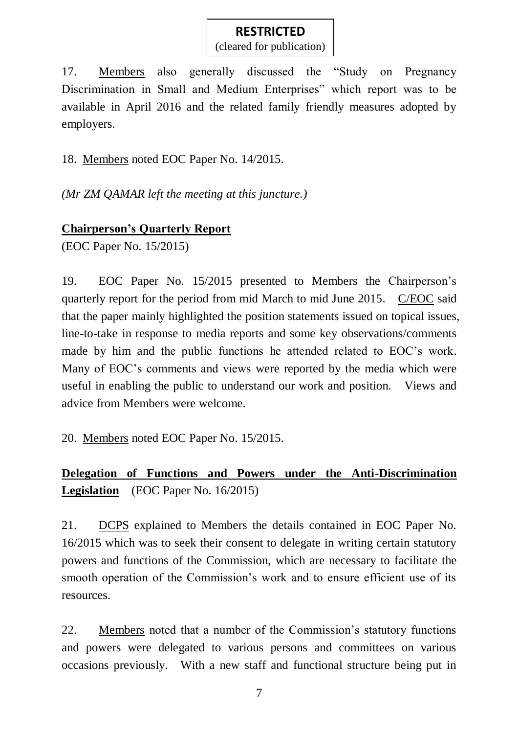(cleared for publication)

17. Members also generally discussed the "Study on Pregnancy Discrimination in Small and Medium Enterprises" which report was to be available in April 2016 and the related family friendly measures adopted by employers.

18. Members noted EOC Paper No. 14/2015.

*(Mr ZM QAMAR left the meeting at this juncture.)*

## **Chairperson's Quarterly Report**

(EOC Paper No. 15/2015)

19. EOC Paper No. 15/2015 presented to Members the Chairperson's quarterly report for the period from mid March to mid June 2015. C/EOC said that the paper mainly highlighted the position statements issued on topical issues, line-to-take in response to media reports and some key observations/comments made by him and the public functions he attended related to EOC's work. Many of EOC's comments and views were reported by the media which were useful in enabling the public to understand our work and position. Views and advice from Members were welcome.

20. Members noted EOC Paper No. 15/2015.

## **Delegation of Functions and Powers under the Anti-Discrimination Legislation** (EOC Paper No. 16/2015)

21. DCPS explained to Members the details contained in EOC Paper No. 16/2015 which was to seek their consent to delegate in writing certain statutory powers and functions of the Commission, which are necessary to facilitate the smooth operation of the Commission's work and to ensure efficient use of its resources.

22. Members noted that a number of the Commission's statutory functions and powers were delegated to various persons and committees on various occasions previously. With a new staff and functional structure being put in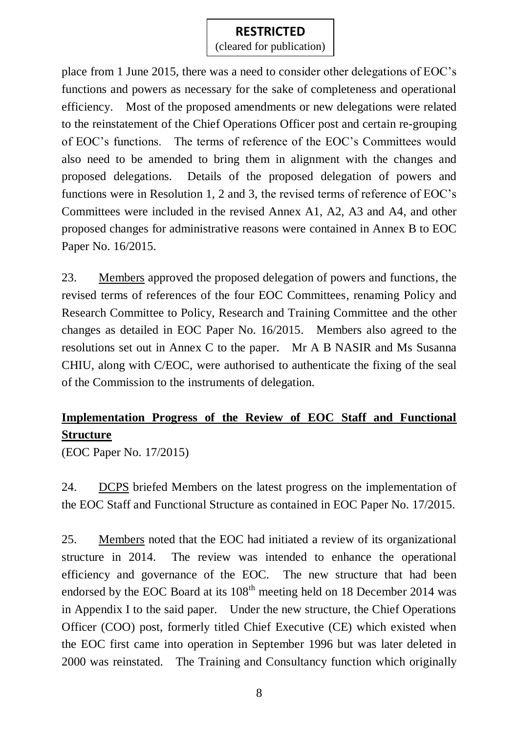(cleared for publication)

place from 1 June 2015, there was a need to consider other delegations of EOC's functions and powers as necessary for the sake of completeness and operational efficiency. Most of the proposed amendments or new delegations were related to the reinstatement of the Chief Operations Officer post and certain re-grouping of EOC's functions. The terms of reference of the EOC's Committees would also need to be amended to bring them in alignment with the changes and proposed delegations. Details of the proposed delegation of powers and functions were in Resolution 1, 2 and 3, the revised terms of reference of EOC's Committees were included in the revised Annex A1, A2, A3 and A4, and other proposed changes for administrative reasons were contained in Annex B to EOC Paper No. 16/2015.

23. Members approved the proposed delegation of powers and functions, the revised terms of references of the four EOC Committees, renaming Policy and Research Committee to Policy, Research and Training Committee and the other changes as detailed in EOC Paper No. 16/2015. Members also agreed to the resolutions set out in Annex C to the paper. Mr A B NASIR and Ms Susanna CHIU, along with C/EOC, were authorised to authenticate the fixing of the seal of the Commission to the instruments of delegation.

## **Implementation Progress of the Review of EOC Staff and Functional Structure**

(EOC Paper No. 17/2015)

24. DCPS briefed Members on the latest progress on the implementation of the EOC Staff and Functional Structure as contained in EOC Paper No. 17/2015.

25. Members noted that the EOC had initiated a review of its organizational structure in 2014. The review was intended to enhance the operational efficiency and governance of the EOC. The new structure that had been endorsed by the EOC Board at its  $108<sup>th</sup>$  meeting held on 18 December 2014 was in Appendix I to the said paper. Under the new structure, the Chief Operations Officer (COO) post, formerly titled Chief Executive (CE) which existed when the EOC first came into operation in September 1996 but was later deleted in 2000 was reinstated. The Training and Consultancy function which originally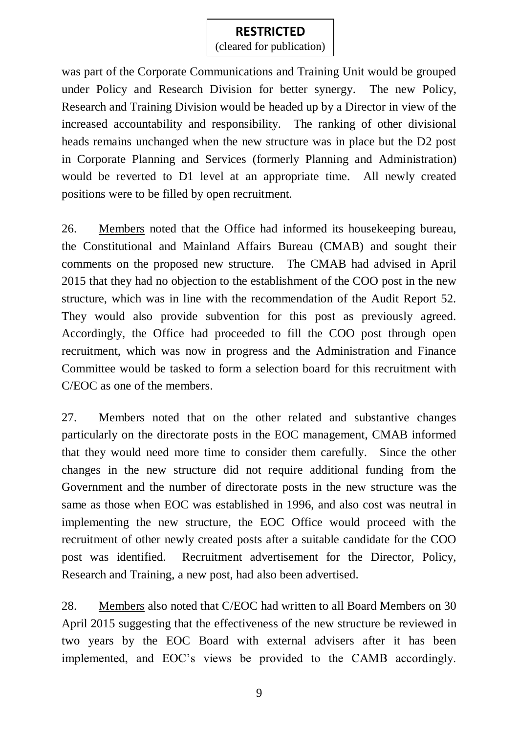(cleared for publication)

was part of the Corporate Communications and Training Unit would be grouped under Policy and Research Division for better synergy. The new Policy, Research and Training Division would be headed up by a Director in view of the increased accountability and responsibility. The ranking of other divisional heads remains unchanged when the new structure was in place but the D2 post in Corporate Planning and Services (formerly Planning and Administration) would be reverted to D1 level at an appropriate time. All newly created positions were to be filled by open recruitment.

26. Members noted that the Office had informed its housekeeping bureau, the Constitutional and Mainland Affairs Bureau (CMAB) and sought their comments on the proposed new structure. The CMAB had advised in April 2015 that they had no objection to the establishment of the COO post in the new structure, which was in line with the recommendation of the Audit Report 52. They would also provide subvention for this post as previously agreed. Accordingly, the Office had proceeded to fill the COO post through open recruitment, which was now in progress and the Administration and Finance Committee would be tasked to form a selection board for this recruitment with C/EOC as one of the members.

27. Members noted that on the other related and substantive changes particularly on the directorate posts in the EOC management, CMAB informed that they would need more time to consider them carefully. Since the other changes in the new structure did not require additional funding from the Government and the number of directorate posts in the new structure was the same as those when EOC was established in 1996, and also cost was neutral in implementing the new structure, the EOC Office would proceed with the recruitment of other newly created posts after a suitable candidate for the COO post was identified. Recruitment advertisement for the Director, Policy, Research and Training, a new post, had also been advertised.

28. Members also noted that C/EOC had written to all Board Members on 30 April 2015 suggesting that the effectiveness of the new structure be reviewed in two years by the EOC Board with external advisers after it has been implemented, and EOC's views be provided to the CAMB accordingly.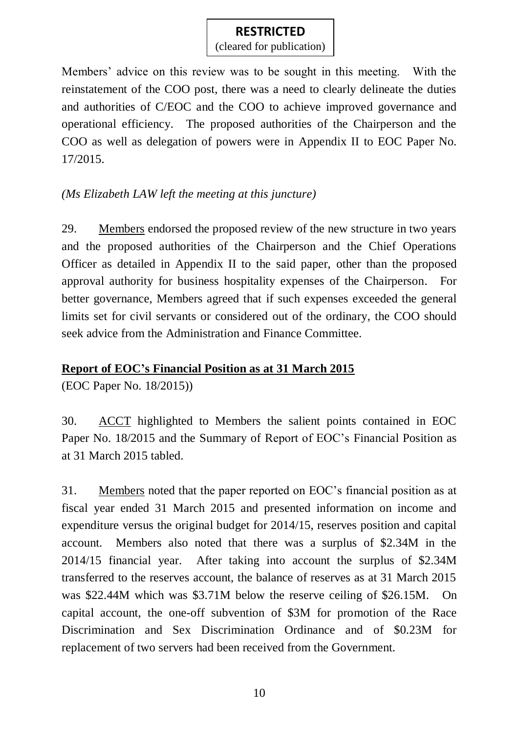(cleared for publication)

Members' advice on this review was to be sought in this meeting. With the reinstatement of the COO post, there was a need to clearly delineate the duties and authorities of C/EOC and the COO to achieve improved governance and operational efficiency. The proposed authorities of the Chairperson and the COO as well as delegation of powers were in Appendix II to EOC Paper No. 17/2015.

## *(Ms Elizabeth LAW left the meeting at this juncture)*

29. Members endorsed the proposed review of the new structure in two years and the proposed authorities of the Chairperson and the Chief Operations Officer as detailed in Appendix II to the said paper, other than the proposed approval authority for business hospitality expenses of the Chairperson. For better governance, Members agreed that if such expenses exceeded the general limits set for civil servants or considered out of the ordinary, the COO should seek advice from the Administration and Finance Committee.

## **Report of EOC's Financial Position as at 31 March 2015**

(EOC Paper No. 18/2015))

30. ACCT highlighted to Members the salient points contained in EOC Paper No. 18/2015 and the Summary of Report of EOC's Financial Position as at 31 March 2015 tabled.

31. Members noted that the paper reported on EOC's financial position as at fiscal year ended 31 March 2015 and presented information on income and expenditure versus the original budget for 2014/15, reserves position and capital account. Members also noted that there was a surplus of \$2.34M in the 2014/15 financial year. After taking into account the surplus of \$2.34M transferred to the reserves account, the balance of reserves as at 31 March 2015 was \$22.44M which was \$3.71M below the reserve ceiling of \$26.15M. On capital account, the one-off subvention of \$3M for promotion of the Race Discrimination and Sex Discrimination Ordinance and of \$0.23M for replacement of two servers had been received from the Government.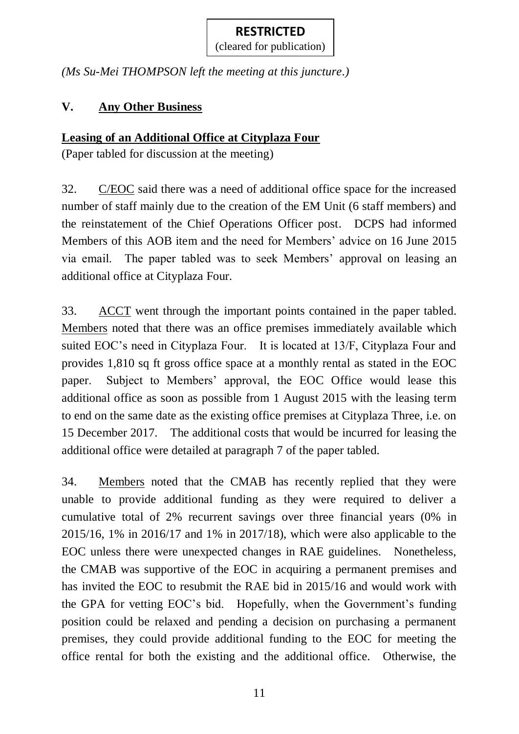(cleared for publication)

*(Ms Su-Mei THOMPSON left the meeting at this juncture.)*

## **V. Any Other Business**

## **Leasing of an Additional Office at Cityplaza Four**

(Paper tabled for discussion at the meeting)

32. C/EOC said there was a need of additional office space for the increased number of staff mainly due to the creation of the EM Unit (6 staff members) and the reinstatement of the Chief Operations Officer post. DCPS had informed Members of this AOB item and the need for Members' advice on 16 June 2015 via email. The paper tabled was to seek Members' approval on leasing an additional office at Cityplaza Four.

33. ACCT went through the important points contained in the paper tabled. Members noted that there was an office premises immediately available which suited EOC's need in Cityplaza Four. It is located at 13/F, Cityplaza Four and provides 1,810 sq ft gross office space at a monthly rental as stated in the EOC paper. Subject to Members' approval, the EOC Office would lease this additional office as soon as possible from 1 August 2015 with the leasing term to end on the same date as the existing office premises at Cityplaza Three, i.e. on 15 December 2017. The additional costs that would be incurred for leasing the additional office were detailed at paragraph 7 of the paper tabled.

34. Members noted that the CMAB has recently replied that they were unable to provide additional funding as they were required to deliver a cumulative total of 2% recurrent savings over three financial years (0% in 2015/16, 1% in 2016/17 and 1% in 2017/18), which were also applicable to the EOC unless there were unexpected changes in RAE guidelines. Nonetheless, the CMAB was supportive of the EOC in acquiring a permanent premises and has invited the EOC to resubmit the RAE bid in 2015/16 and would work with the GPA for vetting EOC's bid. Hopefully, when the Government's funding position could be relaxed and pending a decision on purchasing a permanent premises, they could provide additional funding to the EOC for meeting the office rental for both the existing and the additional office. Otherwise, the